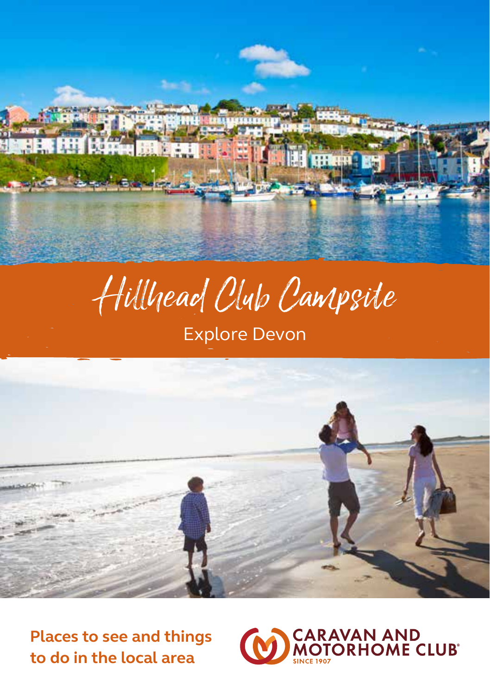

# Hillhead Club Campsite

# Explore Devon



**Places to see and things to do in the local area**

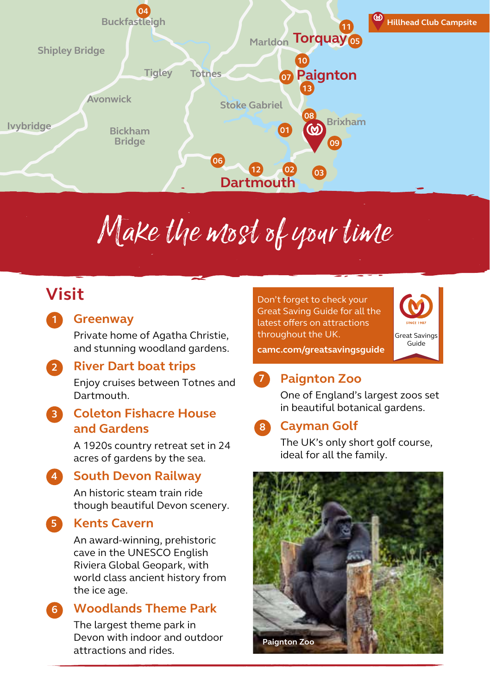

# Make the most of your time

## **Visit**

#### **Greenway 1**

Private home of Agatha Christie, and stunning woodland gardens.

#### **River Dart boat trips 2**

Enjoy cruises between Totnes and **Dartmouth** 

#### **Coleton Fishacre House and Gardens 3**

A 1920s country retreat set in 24 acres of gardens by the sea.

#### **South Devon Railway 4**

An historic steam train ride though beautiful Devon scenery.

## **Kents Cavern**

**5**

An award-winning, prehistoric cave in the UNESCO English Riviera Global Geopark, with world class ancient history from the ice age.

#### **Woodlands Theme Park 6**

The largest theme park in Devon with indoor and outdoor attractions and rides.

Don't forget to check your Great Saving Guide for all the latest offers on attractions throughout the UK.



**camc.com/greatsavingsguide**

## **Paignton Zoo 7**

One of England's largest zoos set in beautiful botanical gardens.

## **Cayman Golf 8**

The UK's only short golf course. ideal for all the family.

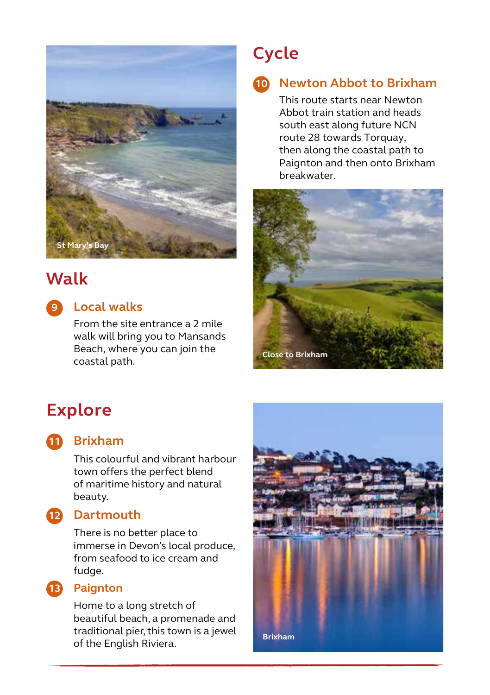

## **Walk**

## **Local walks 9**

From the site entrance a 2 mile walk will bring you to Mansands Beach, where you can join the coastal path.

# **Cycle**

## **Newton Abbot to Brixham 10**

This route starts near Newton Abbot train station and heads south east along future NCN route 28 towards Torquay. then along the coastal path to Paignton and then onto Brixham breakwater.



# **Explore**



## **Brixham 11**

This colourful and vibrant harbour town offers the perfect blend of maritime history and natural beauty.

## **Dartmouth 12**

There is no better place to immerse in Devon's local produce, from seafood to ice cream and fudge.

### **Paignton 13**

Home to a long stretch of beautiful beach, a promenade and traditional pier, this town is a jewel of the English Riviera.